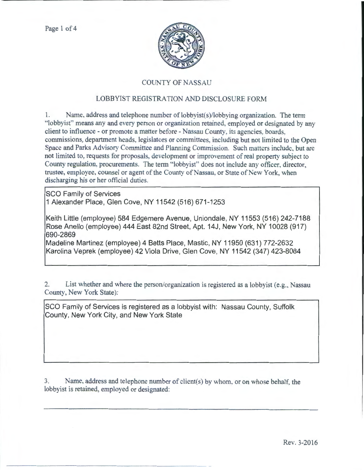

## COUNTY OF NASSAU

## LOBBYIST REGISTRATION AND DISCLOSURE FORM

1. Name, address and telephone number of lobbyist(s)/lobbying organization. The term "lobbyist" means any and every person or organization retained, employed or designated by any client to influence - or promote a matter before - Nassau County, its agencies, boards, commissions, department heads, legislators or committees, including but not limited to the Open Space and Parks Advisory Committee and Planning Commission. Such matters include, but arc not limited to, requests for proposals, development or improvement of real property subject to County regulation, procurements. The term "lobbyist" does not include any officer, director, trustee, employee, counsel or agent of the County of Nassau, or State of New York, when discharging his or her official duties.

SCO Family of Services 1 Alexander Place, Glen Cove, NY 11542 (516) 671-1253

Keith Little (employee) 584 Edgemere Avenue, Uniondale, NY 11553 (516) 242-7188 Rose Anello (employee) 444 East 82nd Street, Apt. 14J, New York, NY 10028 (917) 690-2869

Madeline Martinez (employee) 4 Betts Place, Mastic, NY 11950 (631) 772-2632 Karolina Veprek (employee) 42 Viola Drive, Glen Cove, NY 11542 (347) 423-8084

2. List whether and where the person/organization is registered as a lobbyist (e.g., Nassau County, New York State):

SCO Family of Services is registered as a lobbyist with: Nassau County, Suffolk County, New York City, and New York State

3. Name, address and telephone number of client(s) by whom. or on whose behalf. the lobbyist is retained, employed or designated: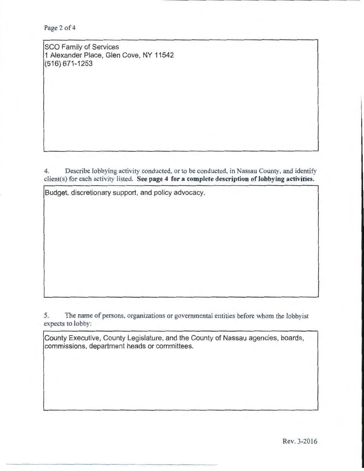Page 2 of 4

SCO Family of Services 1 Alexander Place, Glen Cove, NY 11542 (516) 671-1253

4. Describe lobbying activity conducted. or to be conducted, in Nassau County, and identify client(s) for each activity listed. See page 4 for a complete description of lobbying activities.

Budget, discretionary support, and policy advocacy.

5. The name of persons, organizations or governmental entities before whom the lobbyist expects to lobby:

County Executive, County Legislature, and the County of Nassau agencies, boards, commissions, department heads or committees.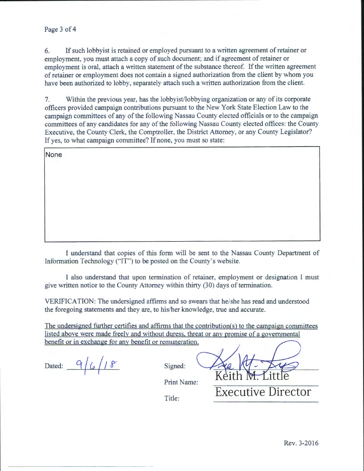## Page 3 of 4

6. If such lobbyist is retained or employed pursuant to a written agreement of retainer or employment, you must attach a copy of such document; and if agreement of retainer or employment is oral, attach a written statement of the substance thereof. If the written agreement of retainer or employment does not contain a signed authorization from the client by whom you have been authorized to lobby. separately attach such a written authorization from the client.

7. Within the previous year, has the lobbyist/lobbying organization or any of its corporate officers provided campaign contributions pursuant to the New York State Election Law to the campaign committees of any of the following Nassau County elected officials or to the campaign committees of any candidates tor any of the following Nassau County elected offices: the County Executive, the County Clerk, the Comptroller, the District Attorney, or any County Legislator? If yes, to what campaign committee? If none, you must so state:

**None** 

I understand that copies of this form will be sent to the Nassau County Department of Information Technology ("IT") to be posted on the County's website.

I also understand that upon termination of retainer, employment or designation 1 must give written notice to the County Attorney within thirty (30) days of termination.

VERIFICATION: The undersigned affirms and so swears that he/she has read and understood the foregoing statements and they are, to his/her knowledge, true and accurate.

The undersigned further certifies and affirms that the contribution(s) to the campaign committees listed above were made freelv and without duress. threat or any promise of a governmental benefit or in exchange for any benefit or remuneration.

Dated:  $9/6/18$  Signed:

**Executive Director** 

Print Name:

Title: